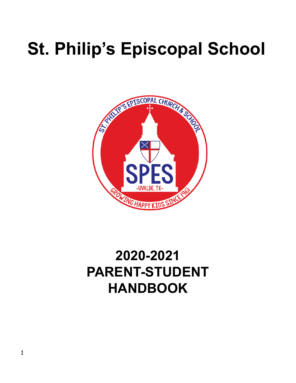# **St. Philip's Episcopal School**



# **2020-2021 PARENT-STUDENT HANDBOOK**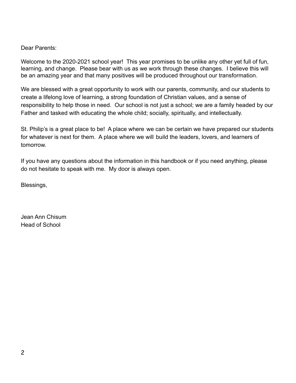#### Dear Parents:

Welcome to the 2020-2021 school year! This year promises to be unlike any other yet full of fun, learning, and change. Please bear with us as we work through these changes. I believe this will be an amazing year and that many positives will be produced throughout our transformation.

We are blessed with a great opportunity to work with our parents, community, and our students to create a lifelong love of learning, a strong foundation of Christian values, and a sense of responsibility to help those in need. Our school is not just a school; we are a family headed by our Father and tasked with educating the whole child; socially, spiritually, and intellectually.

St. Philip's is a great place to be! A place where we can be certain we have prepared our students for whatever is next for them. A place where we will build the leaders, lovers, and learners of tomorrow.

If you have any questions about the information in this handbook or if you need anything, please do not hesitate to speak with me. My door is always open.

Blessings,

Jean Ann Chisum Head of School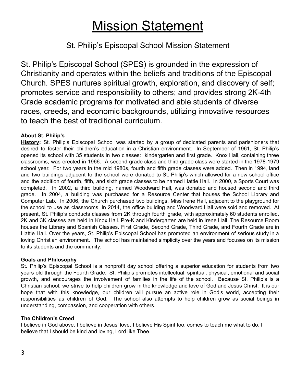# **Mission Statement**

# St. Philip's Episcopal School Mission Statement

St. Philip's Episcopal School (SPES) is grounded in the expression of Christianity and operates within the beliefs and traditions of the Episcopal Church. SPES nurtures spiritual growth, exploration, and discovery of self; promotes service and responsibility to others; and provides strong 2K-4th Grade academic programs for motivated and able students of diverse races, creeds, and economic backgrounds, utilizing innovative resources to teach the best of traditional curriculum.

#### **About St. Philip's**

**History:** St. Philip's Episcopal School was started by a group of dedicated parents and parishioners that desired to foster their children's education in a Christian environment. In September of 1961, St. Philip's opened its school with 35 students in two classes: kindergarten and first grade. Knox Hall, containing three classrooms, was erected in 1966. A second grade class and third grade class were started in the 1978-1979 school year. For two years in the mid 1980s, fourth and fifth grade classes were added. Then in 1994, land and two buildings adjacent to the school were donated to St. Philip's which allowed for a new school office and the addition of fourth, fifth, and sixth grade classes to be named Hattie Hall. In 2000, a Sports Court was completed. In 2002, a third building, named Woodward Hall, was donated and housed second and third grade. In 2004, a building was purchased for a Resource Center that houses the School Library and Computer Lab. In 2006, the Church purchased two buildings, Miss Irene Hall, adjacent to the playground for the school to use as classrooms. In 2014, the office building and Woodward Hall were sold and removed. At present, St. Philip's conducts classes from 2K through fourth grade, with approximately 60 students enrolled. 2K and 3K classes are held in Knox Hall. Pre-K and Kindergarten are held in Irene Hall. The Resource Room houses the Library and Spanish Classes. First Grade, Second Grade, Third Grade, and Fourth Grade are in Hattie Hall. Over the years, St. Philip's Episcopal School has promoted an environment of serious study in a loving Christian environment. The school has maintained simplicity over the years and focuses on its mission to its students and the community.

#### **Goals and Philosophy**

St. Philip's Episcopal School is a nonprofit day school offering a superior education for students from two years old through the Fourth Grade. St. Philip's promotes intellectual, spiritual, physical, emotional and social growth, and encourages the involvement of families in the life of the school. Because St. Philip's is a Christian school, we strive to help children grow in the knowledge and love of God and Jesus Christ. It is our hope that with this knowledge, our children will pursue an active role in God's world, accepting their responsibilities as children of God. The school also attempts to help children grow as social beings in understanding, compassion, and cooperation with others.

#### **The Children's Creed**

I believe in God above. I believe in Jesus' love. I believe His Spirit too, comes to teach me what to do. I believe that I should be kind and loving, Lord like Thee.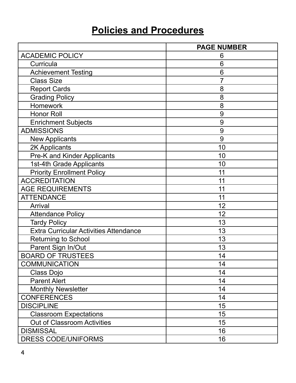# **Policies and Procedures**

|                                               | <b>PAGE NUMBER</b> |
|-----------------------------------------------|--------------------|
| <b>ACADEMIC POLICY</b>                        | 6                  |
| Curricula                                     | 6                  |
| <b>Achievement Testing</b>                    | 6                  |
| <b>Class Size</b>                             | $\overline{7}$     |
| <b>Report Cards</b>                           | 8                  |
| <b>Grading Policy</b>                         | 8                  |
| <b>Homework</b>                               | 8                  |
| <b>Honor Roll</b>                             | 9                  |
| <b>Enrichment Subjects</b>                    | 9                  |
| <b>ADMISSIONS</b>                             | 9                  |
| <b>New Applicants</b>                         | 9                  |
| 2K Applicants                                 | 10                 |
| Pre-K and Kinder Applicants                   | 10                 |
| 1st-4th Grade Applicants                      | 10                 |
| <b>Priority Enrollment Policy</b>             | 11                 |
| <b>ACCREDITATION</b>                          | 11                 |
| <b>AGE REQUIREMENTS</b>                       | 11                 |
| <b>ATTENDANCE</b>                             | 11                 |
| Arrival                                       | 12                 |
| <b>Attendance Policy</b>                      | 12                 |
| <b>Tardy Policy</b>                           | 13                 |
| <b>Extra Curricular Activities Attendance</b> | 13                 |
| <b>Returning to School</b>                    | 13                 |
| Parent Sign In/Out                            | 13                 |
| <b>BOARD OF TRUSTEES</b>                      | 14                 |
| <b>COMMUNICATION</b>                          | 14                 |
| Class Dojo                                    | 14                 |
| <b>Parent Alert</b>                           | 14                 |
| <b>Monthly Newsletter</b>                     | 14                 |
| <b>CONFERENCES</b>                            | 14                 |
| <b>DISCIPLINE</b>                             | 15                 |
| <b>Classroom Expectations</b>                 | 15                 |
| Out of Classroom Activities                   | 15                 |
| <b>DISMISSAL</b>                              | 16                 |
| <b>DRESS CODE/UNIFORMS</b>                    | 16                 |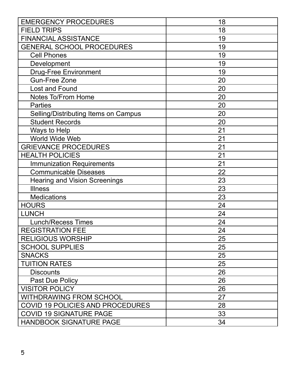| <b>EMERGENCY PROCEDURES</b>          | 18 |
|--------------------------------------|----|
| <b>FIELD TRIPS</b>                   | 18 |
| <b>FINANCIAL ASSISTANCE</b>          | 19 |
| <b>GENERAL SCHOOL PROCEDURES</b>     | 19 |
| <b>Cell Phones</b>                   | 19 |
| Development                          | 19 |
| <b>Drug-Free Environment</b>         | 19 |
| <b>Gun-Free Zone</b>                 | 20 |
| Lost and Found                       | 20 |
| Notes To/From Home                   | 20 |
| <b>Parties</b>                       | 20 |
| Selling/Distributing Items on Campus | 20 |
| <b>Student Records</b>               | 20 |
| Ways to Help                         | 21 |
| World Wide Web                       | 21 |
| <b>GRIEVANCE PROCEDURES</b>          | 21 |
| <b>HEALTH POLICIES</b>               | 21 |
| <b>Immunization Requirements</b>     | 21 |
| <b>Communicable Diseases</b>         | 22 |
| <b>Hearing and Vision Screenings</b> | 23 |
| <b>Illness</b>                       | 23 |
| <b>Medications</b>                   | 23 |
| <b>HOURS</b>                         | 24 |
| <b>LUNCH</b>                         | 24 |
| <b>Lunch/Recess Times</b>            | 24 |
| <b>REGISTRATION FEE</b>              | 24 |
| <b>RELIGIOUS WORSHIP</b>             | 25 |
| <b>SCHOOL SUPPLIES</b>               | 25 |
| <b>SNACKS</b>                        | 25 |
| <b>TUITION RATES</b>                 | 25 |
| <b>Discounts</b>                     | 26 |
| Past Due Policy                      | 26 |
| <b>VISITOR POLICY</b>                | 26 |
| <b>WITHDRAWING FROM SCHOOL</b>       | 27 |
| COVID 19 POLICIES AND PROCEDURES     | 28 |
| <b>COVID 19 SIGNATURE PAGE</b>       | 33 |
| <b>HANDBOOK SIGNATURE PAGE</b>       | 34 |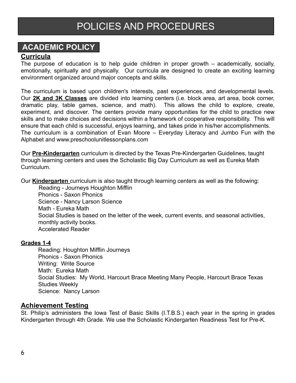# POLICIES AND PROCEDURES

# **ACADEMIC POLICY**

#### **Curricula**

The purpose of education is to help guide children in proper growth – academically, socially, emotionally, spiritually and physically. Our curricula are designed to create an exciting learning environment organized around major concepts and skills.

The curriculum is based upon children's interests, past experiences, and developmental levels. Our **2K and 3K Classes** are divided into learning centers (i.e. block area, art area, book corner, dramatic play, table games, science, and math). This allows the child to explore, create, experiment, and discover. The centers provide many opportunities for the child to practice new skills and to make choices and decisions within a framework of cooperative responsibility. This will ensure that each child is successful, enjoys learning, and takes pride in his/her accomplishments. The curriculum is a combination of Evan Moore – Everyday Literacy and Jumbo Fun with the Alphabet and www.preschoolunitlessonplans.com

Our **Pre-Kindergarten** curriculum is directed by the Texas Pre-Kindergarten Guidelines, taught through learning centers and uses the Scholastic Big Day Curriculum as well as Eureka Math Curriculum.

Our **Kindergarten** curriculum is also taught through learning centers as well as the following:

Reading - Journeys Houghton Mifflin Phonics - Saxon Phonics Science - Nancy Larson Science Math - Eureka Math Social Studies is based on the letter of the week, current events, and seasonal activities, monthly activity books. Accelerated Reader

#### **Grades 1-4**

Reading: Houghton Mifflin Journeys Phonics - Saxon Phonics Writing: Write Source Math: Eureka Math Social Studies: My World, Harcourt Brace Meeting Many People, Harcourt Brace Texas Studies Weekly Science: Nancy Larson

#### **Achievement Testing**

St. Philip's administers the Iowa Test of Basic Skills (I.T.B.S.) each year in the spring in grades Kindergarten through 4th Grade. We use the Scholastic Kindergarten Readiness Test for Pre-K.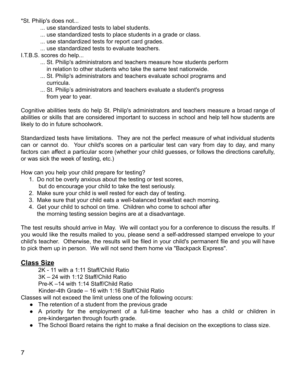\*St. Philip's does not...

- ... use standardized tests to label students.
- ... use standardized tests to place students in a grade or class.
- ... use standardized tests for report card grades.
- ... use standardized tests to evaluate teachers.
- I.T.B.S. scores do help...
	- ... St. Philip's administrators and teachers measure how students perform in relation to other students who take the same test nationwide.
	- ... St. Philip's administrators and teachers evaluate school programs and curricula.
	- ... St. Philip's administrators and teachers evaluate a student's progress from year to year.

Cognitive abilities tests do help St. Philip's administrators and teachers measure a broad range of abilities or skills that are considered important to success in school and help tell how students are likely to do in future schoolwork.

Standardized tests have limitations. They are not the perfect measure of what individual students can or cannot do. Your child's scores on a particular test can vary from day to day, and many factors can affect a particular score (whether your child guesses, or follows the directions carefully, or was sick the week of testing, etc.)

How can you help your child prepare for testing?

- 1. Do not be overly anxious about the testing or test scores, but do encourage your child to take the test seriously.
- 2. Make sure your child is well rested for each day of testing.
- 3. Make sure that your child eats a well-balanced breakfast each morning.
- 4. Get your child to school on time. Children who come to school after the morning testing session begins are at a disadvantage.

The test results should arrive in May. We will contact you for a conference to discuss the results. If you would like the results mailed to you, please send a self-addressed stamped envelope to your child's teacher. Otherwise, the results will be filed in your child's permanent file and you will have to pick them up in person. We will not send them home via "Backpack Express".

#### **Class Size**

2K - 11 with a 1:11 Staff/Child Ratio 3K – 24 with 1:12 Staff/Child Ratio Pre-K –14 with 1:14 Staff/Child Ratio Kinder-4th Grade – 16 with 1:16 Staff/Child Ratio

Classes will not exceed the limit unless one of the following occurs:

- The retention of a student from the previous grade
- A priority for the employment of a full-time teacher who has a child or children in pre-kindergarten through fourth grade.
- The School Board retains the right to make a final decision on the exceptions to class size.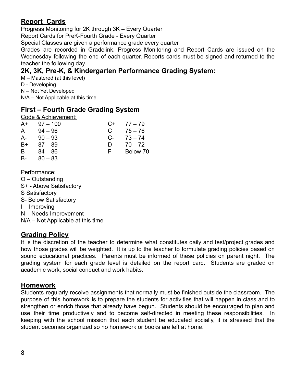## **Report Cards**

Progress Monitoring for 2K through 3K – Every Quarter

Report Cards for PreK-Fourth Grade - Every Quarter

Special Classes are given a performance grade every quarter

Grades are recorded in Gradelink. Progress Monitoring and Report Cards are issued on the Wednesday following the end of each quarter. Reports cards must be signed and returned to the teacher the following day.

### **2K, 3K, Pre-K, & Kindergarten Performance Grading System:**

M – Mastered (at this level) D - Developing N – Not Yet Developed N/A – Not Applicable at this time

### **First – Fourth Grade Grading System**

Code & Achievement:

| $A+$      | $97 - 100$ | $C+$  | 77 – 79   |
|-----------|------------|-------|-----------|
| A         | $94 - 96$  | C     | $75 - 76$ |
| A-        | $90 - 93$  | $C$ - | $73 - 74$ |
| B+        | $87 - 89$  | D     | $70 - 72$ |
| B         | $84 - 86$  | ⊢     | Below 70  |
| <b>B-</b> | $80 - 83$  |       |           |

Performance:

- O Outstanding
- S+ Above Satisfactory
- S Satisfactory
- S- Below Satisfactory
- I Improving
- N Needs Improvement

N/A – Not Applicable at this time

#### **Grading Policy**

It is the discretion of the teacher to determine what constitutes daily and test/project grades and how those grades will be weighted. It is up to the teacher to formulate grading policies based on sound educational practices. Parents must be informed of these policies on parent night. The grading system for each grade level is detailed on the report card. Students are graded on academic work, social conduct and work habits.

#### **Homework**

Students regularly receive assignments that normally must be finished outside the classroom. The purpose of this homework is to prepare the students for activities that will happen in class and to strengthen or enrich those that already have begun. Students should be encouraged to plan and use their time productively and to become self-directed in meeting these responsibilities. In keeping with the school mission that each student be educated socially, it is stressed that the student becomes organized so no homework or books are left at home.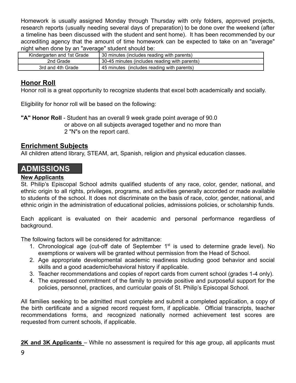Homework is usually assigned Monday through Thursday with only folders, approved projects, research reports (usually needing several days of preparation) to be done over the weekend (after a timeline has been discussed with the student and sent home). It has been recommended by our accrediting agency that the amount of time homework can be expected to take on an "average" night when done by an "average" student should be:

| Kindergarten and 1st Grade | 30 minutes (includes reading with parents)    |
|----------------------------|-----------------------------------------------|
| 2nd Grade                  | 30-45 minutes (includes reading with parents) |
| 3rd and 4th Grade          | 45 minutes (includes reading with parents)    |

#### **Honor Roll**

Honor roll is a great opportunity to recognize students that excel both academically and socially.

Eligibility for honor roll will be based on the following:

**"A" Honor Roll** - Student has an overall 9 week grade point average of 90.0 or above on all subjects averaged together and no more than 2 "N"s on the report card.

#### **Enrichment Subjects**

All children attend library, STEAM, art, Spanish, religion and physical education classes.

## **ADMISSIONS**

#### **New Applicants**

St. Philip's Episcopal School admits qualified students of any race, color, gender, national, and ethnic origin to all rights, privileges, programs, and activities generally accorded or made available to students of the school. It does not discriminate on the basis of race, color, gender, national, and ethnic origin in the administration of educational policies, admissions policies, or scholarship funds.

Each applicant is evaluated on their academic and personal performance regardless of background.

The following factors will be considered for admittance:

- 1. Chronological age (cut-off date of September  $1<sup>st</sup>$  is used to determine grade level). No exemptions or waivers will be granted without permission from the Head of School.
- 2. Age appropriate developmental academic readiness including good behavior and social skills and a good academic/behavioral history if applicable.
- 3. Teacher recommendations and copies of report cards from current school (grades 1-4 only).
- 4. The expressed commitment of the family to provide positive and purposeful support for the policies, personnel, practices, and curricular goals of St. Philip's Episcopal School.

All families seeking to be admitted must complete and submit a completed application, a copy of the birth certificate and a signed record request form, if applicable. Official transcripts, teacher recommendations forms, and recognized nationally normed achievement test scores are requested from current schools, if applicable.

**2K and 3K Applicants** – While no assessment is required for this age group, all applicants must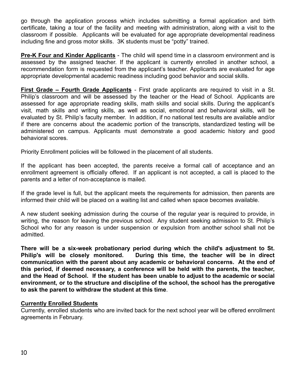go through the application process which includes submitting a formal application and birth certificate, taking a tour of the facility and meeting with administration, along with a visit to the classroom if possible. Applicants will be evaluated for age appropriate developmental readiness including fine and gross motor skills. 3K students must be "potty" trained.

**Pre-K Four and Kinder Applicants** - The child will spend time in a classroom environment and is assessed by the assigned teacher. If the applicant is currently enrolled in another school, a recommendation form is requested from the applicant's teacher. Applicants are evaluated for age appropriate developmental academic readiness including good behavior and social skills.

**First Grade – Fourth Grade Applicants** - First grade applicants are required to visit in a St. Philip's classroom and will be assessed by the teacher or the Head of School. Applicants are assessed for age appropriate reading skills, math skills and social skills. During the applicant's visit, math skills and writing skills, as well as social, emotional and behavioral skills, will be evaluated by St. Philip's faculty member. In addition, if no national test results are available and/or if there are concerns about the academic portion of the transcripts, standardized testing will be administered on campus. Applicants must demonstrate a good academic history and good behavioral scores.

Priority Enrollment policies will be followed in the placement of all students.

If the applicant has been accepted, the parents receive a formal call of acceptance and an enrollment agreement is officially offered. If an applicant is not accepted, a call is placed to the parents and a letter of non-acceptance is mailed.

If the grade level is full, but the applicant meets the requirements for admission, then parents are informed their child will be placed on a waiting list and called when space becomes available.

A new student seeking admission during the course of the regular year is required to provide, in writing, the reason for leaving the previous school. Any student seeking admission to St. Philip's School who for any reason is under suspension or expulsion from another school shall not be admitted.

**There will be a six-week probationary period during which the child's adjustment to St. Philip's will be closely monitored. During this time, the teacher will be in direct communication with the parent about any academic or behavioral concerns. At the end of this period, if deemed necessary, a conference will be held with the parents, the teacher, and the Head of School. If the student has been unable to adjust to the academic or social environment, or to the structure and discipline of the school, the school has the prerogative to ask the parent to withdraw the student at this time**.

#### **Currently Enrolled Students**

Currently, enrolled students who are invited back for the next school year will be offered enrollment agreements in February.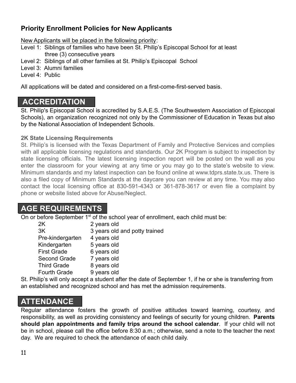## **Priority Enrollment Policies for New Applicants**

New Applicants will be placed in the following priority:

- Level 1: Siblings of families who have been St. Philip's Episcopal School for at least three (3) consecutive years
- Level 2: Siblings of all other families at St. Philip's Episcopal School
- Level 3: Alumni families

Level 4: Public

All applications will be dated and considered on a first-come-first-served basis.

# **ACCREDITATION**

St. Philip's Episcopal School is accredited by S.A.E.S. (The Southwestern Association of Episcopal Schools), an organization recognized not only by the Commissioner of Education in Texas but also by the National Association of Independent Schools.

#### **2K State Licensing Requirements**

St. Philip's is licensed with the Texas Department of Family and Protective Services and complies with all applicable licensing regulations and standards. Our 2K Program is subject to inspection by state licensing officials. The latest licensing inspection report will be posted on the wall as you enter the classroom for your viewing at any time or you may go to the state's website to view. Minimum standards and my latest inspection can be found online at www.tdprs.state.tx.us. There is also a filed copy of Minimum Standards at the daycare you can review at any time. You may also contact the local licensing office at 830-591-4343 or 361-878-3617 or even file a complaint by phone or website listed above for Abuse/Neglect.

# **AGE REQUIREMENTS**

On or before September 1<sup>st</sup> of the school year of enrollment, each child must be:

| 2K                  | 2 years old                   |
|---------------------|-------------------------------|
| 3K                  | 3 years old and potty trained |
| Pre-kindergarten    | 4 years old                   |
| Kindergarten        | 5 years old                   |
| <b>First Grade</b>  | 6 years old                   |
| <b>Second Grade</b> | 7 years old                   |
| <b>Third Grade</b>  | 8 years old                   |
| <b>Fourth Grade</b> | 9 years old                   |
|                     |                               |

St. Philip's will only accept a student after the date of September 1, if he or she is transferring from an established and recognized school and has met the admission requirements.

# **ATTENDANCE**

Regular attendance fosters the growth of positive attitudes toward learning, courtesy, and responsibility, as well as providing consistency and feelings of security for young children. **Parents should plan appointments and family trips around the school calendar**. If your child will not be in school, please call the office before 8:30 a.m.; otherwise, send a note to the teacher the next day. We are required to check the attendance of each child daily.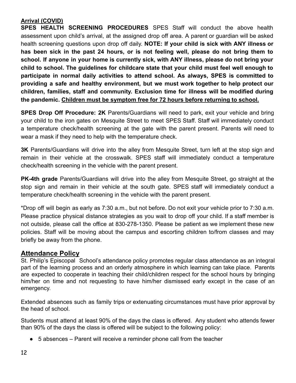#### **Arrival (COVID)**

**SPES HEALTH SCREENING PROCEDURES** SPES Staff will conduct the above health assessment upon child's arrival, at the assigned drop off area. A parent or guardian will be asked health screening questions upon drop off daily. **NOTE: If your child is sick with ANY illness or has been sick in the past 24 hours, or is not feeling well, please do not bring them to school. If anyone in your home is currently sick, with ANY illness, please do not bring your child to school. The guidelines for childcare state that your child must feel well enough to participate in normal daily activities to attend school. As always, SPES is committed to providing a safe and healthy environment, but we must work together to help protect our children, families, staff and community. Exclusion time for illness will be modified during the pandemic. Children must be symptom free for 72 hours before returning to school.**

**SPES Drop Off Procedure: 2K** Parents/Guardians will need to park, exit your vehicle and bring your child to the iron gates on Mesquite Street to meet SPES Staff. Staff will immediately conduct a temperature check/health screening at the gate with the parent present. Parents will need to wear a mask if they need to help with the temperature check.

**3K** Parents/Guardians will drive into the alley from Mesquite Street, turn left at the stop sign and remain in their vehicle at the crosswalk. SPES staff will immediately conduct a temperature check/health screening in the vehicle with the parent present.

**PK-4th grade** Parents/Guardians will drive into the alley from Mesquite Street, go straight at the stop sign and remain in their vehicle at the south gate. SPES staff will immediately conduct a temperature check/health screening in the vehicle with the parent present.

\*Drop off will begin as early as 7:30 a.m., but not before. Do not exit your vehicle prior to 7:30 a.m. Please practice physical distance strategies as you wait to drop off your child. If a staff member is not outside, please call the office at 830-278-1350. Please be patient as we implement these new policies. Staff will be moving about the campus and escorting children to/from classes and may briefly be away from the phone.

## **Attendance Policy**

St. Philip's Episcopal School's attendance policy promotes regular class attendance as an integral part of the learning process and an orderly atmosphere in which learning can take place. Parents are expected to cooperate in teaching their child/children respect for the school hours by bringing him/her on time and not requesting to have him/her dismissed early except in the case of an emergency.

Extended absences such as family trips or extenuating circumstances must have prior approval by the head of school.

Students must attend at least 90% of the days the class is offered. Any student who attends fewer than 90% of the days the class is offered will be subject to the following policy:

 $\bullet$  5 absences – Parent will receive a reminder phone call from the teacher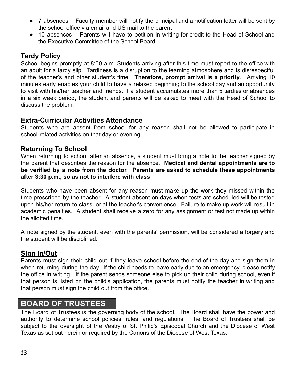- 7 absences Faculty member will notify the principal and a notification letter will be sent by the school office via email and US mail to the parent
- 10 absences Parents will have to petition in writing for credit to the Head of School and the Executive Committee of the School Board.

#### **Tardy Policy**

School begins promptly at 8:00 a.m. Students arriving after this time must report to the office with an adult for a tardy slip. Tardiness is a disruption to the learning atmosphere and is disrespectful of the teacher's and other student's time. **Therefore, prompt arrival is a priority.** Arriving 10 minutes early enables your child to have a relaxed beginning to the school day and an opportunity to visit with his/her teacher and friends. If a student accumulates more than 5 tardies or absences in a six week period, the student and parents will be asked to meet with the Head of School to discuss the problem.

#### **Extra-Curricular Activities Attendance**

Students who are absent from school for any reason shall not be allowed to participate in school-related activities on that day or evening.

#### **Returning To School**

When returning to school after an absence, a student must bring a note to the teacher signed by the parent that describes the reason for the absence. **Medical and dental appointments are to be verified by a note from the doctor. Parents are asked to schedule these appointments after 3:30 p.m., so as not to interfere with class**.

Students who have been absent for any reason must make up the work they missed within the time prescribed by the teacher. A student absent on days when tests are scheduled will be tested upon his/her return to class, or at the teacher's convenience. Failure to make up work will result in academic penalties. A student shall receive a zero for any assignment or test not made up within the allotted time.

A note signed by the student, even with the parents' permission, will be considered a forgery and the student will be disciplined.

#### **Sign In/Out**

Parents must sign their child out if they leave school before the end of the day and sign them in when returning during the day. If the child needs to leave early due to an emergency, please notify the office in writing. If the parent sends someone else to pick up their child during school, even if that person is listed on the child's application, the parents must notify the teacher in writing and that person must sign the child out from the office.

## **BOARD OF TRUSTEES**

The Board of Trustees is the governing body of the school. The Board shall have the power and authority to determine school policies, rules, and regulations. The Board of Trustees shall be subject to the oversight of the Vestry of St. Philip's Episcopal Church and the Diocese of West Texas as set out herein or required by the Canons of the Diocese of West Texas.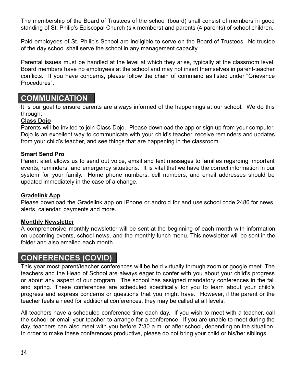The membership of the Board of Trustees of the school (board) shall consist of members in good standing of St. Philip's Episcopal Church (six members) and parents (4 parents) of school children.

Paid employees of St. Philip's School are ineligible to serve on the Board of Trustees. No trustee of the day school shall serve the school in any management capacity.

Parental issues must be handled at the level at which they arise, typically at the classroom level. Board members have no employees at the school and may not insert themselves in parent-teacher conflicts. If you have concerns, please follow the chain of command as listed under "Grievance Procedures".

## **COMMUNICATION**

It is our goal to ensure parents are always informed of the happenings at our school. We do this through:

#### **Class Dojo**

Parents will be invited to join Class Dojo. Please download the app or sign up from your computer. Dojo is an excellent way to communicate with your child's teacher, receive reminders and updates from your child's teacher, and see things that are happening in the classroom.

#### **Smart Send Pro**

Parent alert allows us to send out voice, email and text messages to families regarding important events, reminders, and emergency situations. It is vital that we have the correct information in our system for your family. Home phone numbers, cell numbers, and email addresses should be updated immediately in the case of a change.

#### **Gradelink App**

Please download the Gradelink app on iPhone or android for and use school code 2480 for news, alerts, calendar, payments and more.

#### **Monthly Newsletter**

A comprehensive monthly newsletter will be sent at the beginning of each month with information on upcoming events, school news, and the monthly lunch menu. This newsletter will be sent in the folder and also emailed each month.

## **CONFERENCES (COVID)**

This year most parent/teacher conferences will be held virtually through zoom or google meet. The teachers and the Head of School are always eager to confer with you about your child's progress or about any aspect of our program. The school has assigned mandatory conferences in the fall and spring. These conferences are scheduled specifically for you to learn about your child's progress and express concerns or questions that you might have. However, if the parent or the teacher feels a need for additional conferences, they may be called at all levels.

All teachers have a scheduled conference time each day. If you wish to meet with a teacher, call the school or email your teacher to arrange for a conference. If you are unable to meet during the day, teachers can also meet with you before 7:30 a.m. or after school, depending on the situation. In order to make these conferences productive, please do not bring your child or his/her siblings.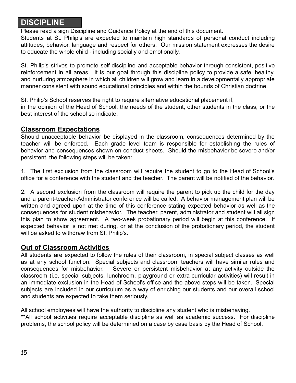## **DISCIPLINE**

Please read a sign Discipline and Guidance Policy at the end of this document.

Students at St. Philip's are expected to maintain high standards of personal conduct including attitudes, behavior, language and respect for others. Our mission statement expresses the desire to educate the whole child - including socially and emotionally.

St. Philip's strives to promote self-discipline and acceptable behavior through consistent, positive reinforcement in all areas. It is our goal through this discipline policy to provide a safe, healthy, and nurturing atmosphere in which all children will grow and learn in a developmentally appropriate manner consistent with sound educational principles and within the bounds of Christian doctrine.

St. Philip's School reserves the right to require alternative educational placement if,

in the opinion of the Head of School, the needs of the student, other students in the class, or the best interest of the school so indicate.

#### **Classroom Expectations**

Should unacceptable behavior be displayed in the classroom, consequences determined by the teacher will be enforced. Each grade level team is responsible for establishing the rules of behavior and consequences shown on conduct sheets. Should the misbehavior be severe and/or persistent, the following steps will be taken:

1. The first exclusion from the classroom will require the student to go to the Head of School's office for a conference with the student and the teacher. The parent will be notified of the behavior.

2. A second exclusion from the classroom will require the parent to pick up the child for the day and a parent-teacher-Administrator conference will be called. A behavior management plan will be written and agreed upon at the time of this conference stating expected behavior as well as the consequences for student misbehavior. The teacher, parent, administrator and student will all sign this plan to show agreement. A two-week probationary period will begin at this conference. If expected behavior is not met during, or at the conclusion of the probationary period, the student will be asked to withdraw from St. Philip's.

#### **Out of Classroom Activities**

All students are expected to follow the rules of their classroom, in special subject classes as well as at any school function. Special subjects and classroom teachers will have similar rules and consequences for misbehavior. Severe or persistent misbehavior at any activity outside the classroom (i.e. special subjects, lunchroom, playground or extra-curricular activities) will result in an immediate exclusion in the Head of School's office and the above steps will be taken. Special subjects are included in our curriculum as a way of enriching our students and our overall school and students are expected to take them seriously.

All school employees will have the authority to discipline any student who is misbehaving. \*\*All school activities require acceptable discipline as well as academic success. For discipline problems, the school policy will be determined on a case by case basis by the Head of School.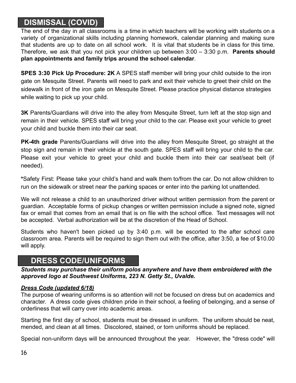# **DISMISSAL (COVID)**

The end of the day in all classrooms is a time in which teachers will be working with students on a variety of organizational skills including planning homework, calendar planning and making sure that students are up to date on all school work. It is vital that students be in class for this time. Therefore, we ask that you not pick your children up between 3:00 – 3:30 p.m. **Parents should plan appointments and family trips around the school calendar**.

**SPES 3:30 Pick Up Procedure: 2K** A SPES staff member will bring your child outside to the iron gate on Mesquite Street. Parents will need to park and exit their vehicle to greet their child on the sidewalk in front of the iron gate on Mesquite Street. Please practice physical distance strategies while waiting to pick up your child.

**3K** Parents/Guardians will drive into the alley from Mesquite Street, turn left at the stop sign and remain in their vehicle. SPES staff will bring your child to the car. Please exit your vehicle to greet your child and buckle them into their car seat.

**PK-4th grade** Parents/Guardians will drive into the alley from Mesquite Street, go straight at the stop sign and remain in their vehicle at the south gate. SPES staff will bring your child to the car. Please exit your vehicle to greet your child and buckle them into their car seat/seat belt (if needed).

**\***Safety First: Please take your child's hand and walk them to/from the car. Do not allow children to run on the sidewalk or street near the parking spaces or enter into the parking lot unattended.

We will not release a child to an unauthorized driver without written permission from the parent or guardian. Acceptable forms of pickup changes or written permission include a signed note, signed fax or email that comes from an email that is on file with the school office. Text messages will not be accepted. Verbal authorization will be at the discretion of the Head of School.

Students who haven't been picked up by 3:40 p.m. will be escorted to the after school care classroom area. Parents will be required to sign them out with the office, after 3:50, a fee of \$10.00 will apply.

# **DRESS CODE/UNIFORMS**

*Students may purchase their uniform polos anywhere and have them embroidered with the approved logo at Southwest Uniforms, 223 N. Getty St., Uvalde.*

#### *Dress Code (updated 6/18)*

The purpose of wearing uniforms is so attention will not be focused on dress but on academics and character. A dress code gives children pride in their school, a feeling of belonging, and a sense of orderliness that will carry over into academic areas.

Starting the first day of school, students must be dressed in uniform. The uniform should be neat, mended, and clean at all times. Discolored, stained, or torn uniforms should be replaced.

Special non-uniform days will be announced throughout the year. However, the "dress code" will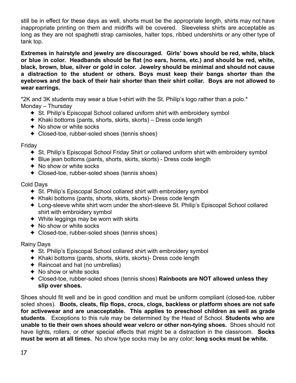still be in effect for these days as well, shorts must be the appropriate length, shirts may not have inappropriate printing on them and midriffs will be covered. Sleeveless shirts are acceptable as long as they are not spaghetti strap camisoles, halter tops, ribbed undershirts or any other type of tank top.

**Extremes in hairstyle and jewelry are discouraged. Girls' bows should be red, white, black or blue in color. Headbands should be flat (no ears, horns, etc.) and should be red, white, black, brown, blue, silver or gold in color. Jewelry should be minimal and should not cause a distraction to the student or others. Boys must keep their bangs shorter than the eyebrows and the back of their hair shorter than their shirt collar. Boys are not allowed to wear earrings.**

\*2K and 3K students may wear a blue t-shirt with the St. Philip's logo rather than a polo.\* Monday – Thursday

- ✦ St. Philip's Episcopal School collared uniform shirt with embroidery symbol
- $\triangle$  Khaki bottoms (pants, shorts, skirts, skorts) Dress code length
- ✦ No show or white socks
- ✦ Closed-toe, rubber-soled shoes (tennis shoes)

Friday

- ✦ St. Philip's Episcopal School Friday Shirt or collared uniform shirt with embroidery symbol
- ✦ Blue jean bottoms (pants, shorts, skirts, skorts) Dress code length
- $\triangleleft$  No show or white socks
- ✦ Closed-toe, rubber-soled shoes (tennis shoes)

Cold Days

- ✦ St. Philip's Episcopal School collared shirt with embroidery symbol
- ✦ Khaki bottoms (pants, shorts, skirts, skorts)- Dress code length
- ✦ Long-sleeve white shirt worn under the short-sleeve St. Philip's Episcopal School collared shirt with embroidery symbol
- $\triangleleft$  White leggings may be worn with skirts
- ✦ No show or white socks
- ✦ Closed-toe, rubber-soled shoes (tennis shoes)

Rainy Days

- ✦ St. Philip's Episcopal School collared shirt with embroidery symbol
- ✦ Khaki bottoms (pants, shorts, skirts, skorts)- Dress code length
- $\triangleleft$  Raincoat and hat (no umbrellas)
- ✦ No show or white socks
- ✦ Closed-toe, rubber-soled shoes (tennis shoes) **Rainboots are NOT allowed unless they slip over shoes.**

Shoes should fit well and be in good condition and must be uniform compliant (closed-toe, rubber soled shoes). **Boots, cleats, flip flops, crocs, clogs, backless or platform shoes are not safe for activewear and are unacceptable. This applies to preschool children as well as grade students**. Exceptions to this rule may be determined by the Head of School. **Students who are unable to tie their own shoes should wear velcro or other non-tying shoes.** Shoes should not have lights, rollers, or other special effects that might be a distraction in the classroom. **Socks must be worn at all times.** No show type socks may be any color; **long socks must be white.**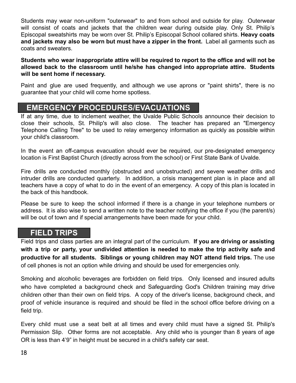Students may wear non-uniform "outerwear" to and from school and outside for play. Outerwear will consist of coats and jackets that the children wear during outside play. Only St. Philip's Episcopal sweatshirts may be worn over St. Philip's Episcopal School collared shirts. **Heavy coats and jackets may also be worn but must have a zipper in the front.** Label all garments such as coats and sweaters.

**Students who wear inappropriate attire will be required to report to the office and will not be allowed back to the classroom until he/she has changed into appropriate attire. Students will be sent home if necessary.**

Paint and glue are used frequently, and although we use aprons or "paint shirts", there is no guarantee that your child will come home spotless.

## **EMERGENCY PROCEDURES/EVACUATIONS**

If at any time, due to inclement weather, the Uvalde Public Schools announce their decision to close their schools, St. Philip's will also close. The teacher has prepared an "Emergency Telephone Calling Tree" to be used to relay emergency information as quickly as possible within your child's classroom.

In the event an off-campus evacuation should ever be required, our pre-designated emergency location is First Baptist Church (directly across from the school) or First State Bank of Uvalde.

Fire drills are conducted monthly (obstructed and unobstructed) and severe weather drills and intruder drills are conducted quarterly. In addition, a crisis management plan is in place and all teachers have a copy of what to do in the event of an emergency. A copy of this plan is located in the back of this handbook.

Please be sure to keep the school informed if there is a change in your telephone numbers or address. It is also wise to send a written note to the teacher notifying the office if you (the parent/s) will be out of town and if special arrangements have been made for your child.

## **FIELD TRIPS**

Field trips and class parties are an integral part of the curriculum. **If you are driving or assisting with a trip or party, your undivided attention is needed to make the trip activity safe and productive for all students. Siblings or young children may NOT attend field trips.** The use of cell phones is not an option while driving and should be used for emergencies only.

Smoking and alcoholic beverages are forbidden on field trips. Only licensed and insured adults who have completed a background check and Safeguarding God's Children training may drive children other than their own on field trips. A copy of the driver's license, background check, and proof of vehicle insurance is required and should be filed in the school office before driving on a field trip.

Every child must use a seat belt at all times and every child must have a signed St. Philip's Permission Slip. Other forms are not acceptable. Any child who is younger than 8 years of age OR is less than 4'9" in height must be secured in a child's safety car seat.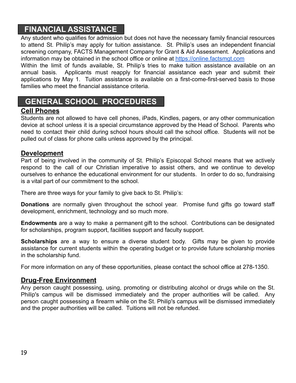## **FINANCIAL ASSISTANCE**

Any student who qualifies for admission but does not have the necessary family financial resources to attend St. Philip's may apply for tuition assistance. St. Philip's uses an independent financial screening company, FACTS Management Company for Grant & Aid Assessment. Applications and information may be obtained in the school office or online at [https://online.factsmgt.com](https://online.factsmgt.com/)

Within the limit of funds available, St. Philip's tries to make tuition assistance available on an annual basis. Applicants must reapply for financial assistance each year and submit their applications by May 1. Tuition assistance is available on a first-come-first-served basis to those families who meet the financial assistance criteria.

# **GENERAL SCHOOL PROCEDURES**

#### **Cell Phones**

Students are not allowed to have cell phones, iPads, Kindles, pagers, or any other communication device at school unless it is a special circumstance approved by the Head of School. Parents who need to contact their child during school hours should call the school office. Students will not be pulled out of class for phone calls unless approved by the principal.

#### **Development**

Part of being involved in the community of St. Philip's Episcopal School means that we actively respond to the call of our Christian imperative to assist others, and we continue to develop ourselves to enhance the educational environment for our students. In order to do so, fundraising is a vital part of our commitment to the school.

There are three ways for your family to give back to St. Philip's:

**Donations** are normally given throughout the school year. Promise fund gifts go toward staff development, enrichment, technology and so much more.

**Endowments** are a way to make a permanent gift to the school. Contributions can be designated for scholarships, program support, facilities support and faculty support.

**Scholarships** are a way to ensure a diverse student body. Gifts may be given to provide assistance for current students within the operating budget or to provide future scholarship monies in the scholarship fund.

For more information on any of these opportunities, please contact the school office at 278-1350.

#### **Drug-Free Environment**

Any person caught possessing, using, promoting or distributing alcohol or drugs while on the St. Philip's campus will be dismissed immediately and the proper authorities will be called. Any person caught possessing a firearm while on the St. Philip's campus will be dismissed immediately and the proper authorities will be called. Tuitions will not be refunded.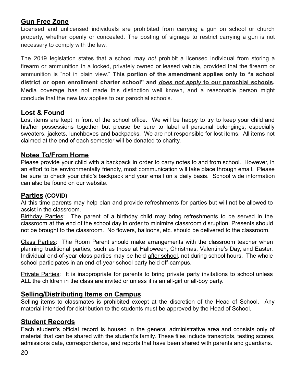### **Gun Free Zone**

Licensed and unlicensed individuals are prohibited from carrying a gun on school or church property, whether openly or concealed. The posting of signage to restrict carrying a gun is not necessary to comply with the law.

The 2019 legislation states that a school may *not* prohibit a licensed individual from storing a firearm or ammunition in a locked, privately owned or leased vehicle, provided that the firearm or ammunition is "not in plain view." **This portion of the amendment applies only to "a school district or open enrollment charter school" and** *does not apply* **to our parochial schools.** Media coverage has not made this distinction well known, and a reasonable person might conclude that the new law applies to our parochial schools.

### **Lost & Found**

Lost items are kept in front of the school office. We will be happy to try to keep your child and his/her possessions together but please be sure to label all personal belongings, especially sweaters, jackets, lunchboxes and backpacks. We are not responsible for lost items. All items not claimed at the end of each semester will be donated to charity.

#### **Notes To/From Home**

Please provide your child with a backpack in order to carry notes to and from school. However, in an effort to be environmentally friendly, most communication will take place through email. Please be sure to check your child's backpack and your email on a daily basis. School wide information can also be found on our website.

#### **Parties (COVID)**

At this time parents may help plan and provide refreshments for parties but will not be allowed to assist in the classroom.

Birthday Parties: The parent of a birthday child may bring refreshments to be served in the classroom at the end of the school day in order to minimize classroom disruption. Presents should not be brought to the classroom. No flowers, balloons, etc. should be delivered to the classroom.

Class Parties: The Room Parent should make arrangements with the classroom teacher when planning traditional parties, such as those at Halloween, Christmas, Valentine's Day, and Easter. Individual end-of-year class parties may be held after school, not during school hours. The whole school participates in an end-of-year school party held off-campus.

Private Parties: It is inappropriate for parents to bring private party invitations to school unless ALL the children in the class are invited or unless it is an all-girl or all-boy party.

#### **Selling/Distributing Items on Campus**

Selling items to classmates is prohibited except at the discretion of the Head of School. Any material intended for distribution to the students must be approved by the Head of School.

#### **Student Records**

Each student's official record is housed in the general administrative area and consists only of material that can be shared with the student's family. These files include transcripts, testing scores, admissions date, correspondence, and reports that have been shared with parents and guardians.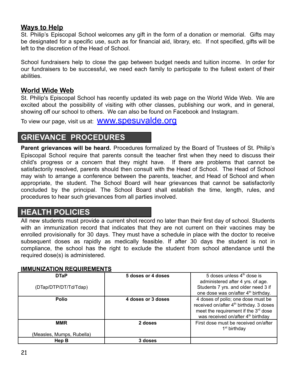#### **Ways to Help**

St. Philip's Episcopal School welcomes any gift in the form of a donation or memorial. Gifts may be designated for a specific use, such as for financial aid, library, etc. If not specified, gifts will be left to the discretion of the Head of School.

School fundraisers help to close the gap between budget needs and tuition income. In order for our fundraisers to be successful, we need each family to participate to the fullest extent of their abilities.

#### **World Wide Web**

St. Philip's Episcopal School has recently updated its web page on the World Wide Web. We are excited about the possibility of visiting with other classes, publishing our work, and in general, showing off our school to others. We can also be found on Facebook and Instagram.

To view our page, visit us at: **WWW.SDESUValde.org** 

# **GRIEVANCE PROCEDURES**

**Parent grievances will be heard.** Procedures formalized by the Board of Trustees of St. Philip's Episcopal School require that parents consult the teacher first when they need to discuss their child's progress or a concern that they might have. If there are problems that cannot be satisfactorily resolved, parents should then consult with the Head of School. The Head of School may wish to arrange a conference between the parents, teacher, and Head of School and when appropriate, the student. The School Board will hear grievances that cannot be satisfactorily concluded by the principal. The School Board shall establish the time, length, rules, and procedures to hear such grievances from all parties involved.

# **HEALTH POLICIES**

All new students must provide a current shot record no later than their first day of school. Students with an immunization record that indicates that they are not current on their vaccines may be enrolled provisionally for 30 days. They must have a schedule in place with the doctor to receive subsequent doses as rapidly as medically feasible. If after 30 days the student is not in compliance, the school has the right to exclude the student from school attendance until the required dose(s) is administered.

#### **IMMUNIZATION REQUIREMENTS**

| <b>DTaP</b><br>(DTap/DTP/DT/Td/Tdap)    | 5 doses or 4 doses | 5 doses unless $4th$ dose is<br>administered after 4 yrs. of age.<br>Students 7 yrs. and older need 3 if<br>one dose was on/after 4 <sup>th</sup> birthday.                                     |
|-----------------------------------------|--------------------|-------------------------------------------------------------------------------------------------------------------------------------------------------------------------------------------------|
| <b>Polio</b>                            | 4 doses or 3 doses | 4 doses of polio; one dose must be<br>received on/after 4 <sup>th</sup> birthday. 3 doses<br>meet the requirement if the 3 <sup>rd</sup> dose<br>was received on/after 4 <sup>th</sup> birthday |
| <b>MMR</b><br>(Measles, Mumps, Rubella) | 2 doses            | First dose must be received on/after<br>1 <sup>st</sup> birthday                                                                                                                                |
| Hep B                                   | 3 doses            |                                                                                                                                                                                                 |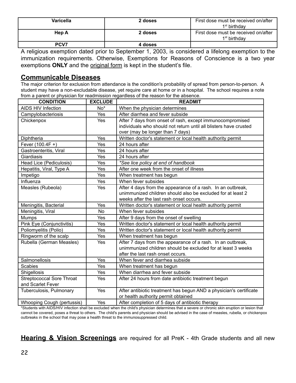| Varicella | 2 doses | First dose must be received on/after<br>1 <sup>st</sup> birthdav |
|-----------|---------|------------------------------------------------------------------|
| Hep A     | 2 doses | First dose must be received on/after<br>1 <sup>st</sup> birthdav |
| PCV7      | 4 doses |                                                                  |

A religious exemption dated prior to September 1, 2003, is considered a lifelong exemption to the immunization requirements. Otherwise, Exemptions for Reasons of Conscience is a two year exemptions **ONLY** and the original form is kept in the student's file.

#### **Communicable Diseases**

The major criterion for exclusion from attendance is the condition's probability of spread from person-to-person. A student may have a non-excludable disease, yet require care at home or in a hospital. The school requires a note from a parent or physician for readmission regardless of the reason for the absence.

| <b>CONDITION</b>                 | <b>EXCLUDE</b>  | <b>READMIT</b>                                                     |
|----------------------------------|-----------------|--------------------------------------------------------------------|
| AIDS HIV Infection               | No <sup>*</sup> | When the physician determines                                      |
| Campylobacteriosis               | Yes             | After diarrhea and fever subside                                   |
| Chickenpox                       | Yes             | After 7 days from onset of rash, except immunocompromised          |
|                                  |                 | individuals who should not return until all blisters have crusted  |
|                                  |                 | over (may be longer than 7 days)                                   |
| Diphtheria                       | Yes             | Written doctor's statement or local health authority permit        |
| Fever (100.4F +)                 | Yes             | 24 hours after                                                     |
| Gastroenteritis, Viral           | Yes             | 24 hours after                                                     |
| Giardiasis                       | Yes             | 24 hours after                                                     |
| Head Lice (Pediculosis)          | Yes             | *See lice policy at end of handbook                                |
| Hepatitis, Viral, Type A         | Yes             | After one week from the onset of illness                           |
| Impetigo                         | Yes             | When treatment has begun                                           |
| Influenza                        | Yes             | When fever subsides                                                |
| Measles (Rubeola)                | Yes             | After 4 days from the appearance of a rash. In an outbreak,        |
|                                  |                 | unimmunized children should also be excluded for at least 2        |
|                                  |                 | weeks after the last rash onset occurs.                            |
| Meningitis, Bacterial            | Yes             | Written doctor's statement or local health authority permit        |
| Meningitis, Viral                | <b>No</b>       | When fever subsides                                                |
| <b>Mumps</b>                     | Yes             | After 9 days from the onset of swelling                            |
| Pink Eye (Conjunctivitis)        | Yes             | Written doctor's statement or local health authority permit        |
| Poliomyelitis (Polio)            | Yes             | Written doctor's statement or local health authority permit        |
| Ringworm of the scalp            | Yes             | When treatment has begun                                           |
| Rubella (German Measles)         | Yes             | After 7 days from the appearance of a rash. In an outbreak,        |
|                                  |                 | unimmunized children should be excluded for at least 3 weeks       |
|                                  |                 | after the last rash onset occurs.                                  |
| Salmonellosis                    | Yes             | When fever and diarrhea subside                                    |
| <b>Scabies</b>                   | Yes             | When treatment has begun                                           |
| Shigellosis                      | Yes             | When diarrhea and fever subside                                    |
| <b>Streptococcal Sore Throat</b> | Yes             | After 24 hours from date antibiotic treatment begun                |
| and Scarlet Fever                |                 |                                                                    |
| Tuberculosis, Pulmonary          | Yes             | After antibiotic treatment has begun AND a physician's certificate |
|                                  |                 | or health authority permit obtained                                |
| Whooping Cough (pertussis)       | Yes             | After completion of 5 days of antibiotic therapy                   |

\*Students with AIDS/HIV infection shall be excluded when the child's physician determines that a severe or chronic skin eruption or lesion that cannot be covered, poses a threat to others. The child's parents and physician should be advised in the case of measles, rubella, or chickenpox outbreaks in the school that may pose a health threat to the immunosuppressed child.

**Hearing & Vision Screenings** are required for all PreK - 4th Grade students and all new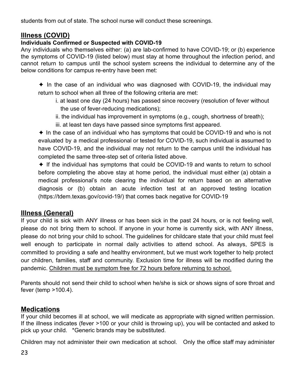students from out of state. The school nurse will conduct these screenings.

## **Illness (COVID)**

#### **Individuals Confirmed or Suspected with COVID-19**

Any individuals who themselves either: (a) are lab-confirmed to have COVID-19; or (b) experience the symptoms of COVID-19 (listed below) must stay at home throughout the infection period, and cannot return to campus until the school system screens the individual to determine any of the below conditions for campus re-entry have been met:

✦ In the case of an individual who was diagnosed with COVID-19, the individual may return to school when all three of the following criteria are met:

- i. at least one day (24 hours) has passed since recovery (resolution of fever without the use of fever-reducing medications);
- ii. the individual has improvement in symptoms (e.g., cough, shortness of breath);
- iii. at least ten days have passed since symptoms first appeared.

✦ In the case of an individual who has symptoms that could be COVID-19 and who is not evaluated by a medical professional or tested for COVID-19, such individual is assumed to have COVID-19, and the individual may not return to the campus until the individual has completed the same three-step set of criteria listed above.

✦ If the individual has symptoms that could be COVID-19 and wants to return to school before completing the above stay at home period, the individual must either (a) obtain a medical professional's note clearing the individual for return based on an alternative diagnosis or (b) obtain an acute infection test at an approved testing location (https://tdem.texas.gov/covid-19/) that comes back negative for COVID-19

## **Illness (General)**

If your child is sick with ANY illness or has been sick in the past 24 hours, or is not feeling well, please do not bring them to school. If anyone in your home is currently sick, with ANY illness, please do not bring your child to school. The guidelines for childcare state that your child must feel well enough to participate in normal daily activities to attend school. As always, SPES is committed to providing a safe and healthy environment, but we must work together to help protect our children, families, staff and community. Exclusion time for illness will be modified during the pandemic. Children must be symptom free for 72 hours before returning to school.

Parents should not send their child to school when he/she is sick or shows signs of sore throat and fever (temp >100.4).

## **Medications**

If your child becomes ill at school, we will medicate as appropriate with signed written permission. If the illness indicates (fever >100 or your child is throwing up), you will be contacted and asked to pick up your child. \*Generic brands may be substituted.

Children may not administer their own medication at school. Only the office staff may administer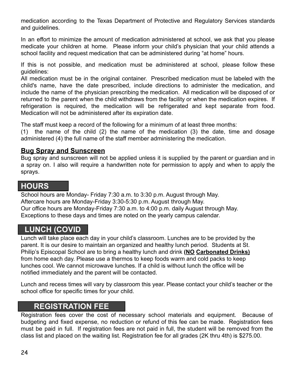medication according to the Texas Department of Protective and Regulatory Services standards and guidelines.

In an effort to minimize the amount of medication administered at school, we ask that you please medicate your children at home. Please inform your child's physician that your child attends a school facility and request medication that can be administered during "at home" hours.

If this is not possible, and medication must be administered at school, please follow these guidelines:

All medication must be in the original container. Prescribed medication must be labeled with the child's name, have the date prescribed, include directions to administer the medication, and include the name of the physician prescribing the medication. All medication will be disposed of or returned to the parent when the child withdraws from the facility or when the medication expires. If refrigeration is required, the medication will be refrigerated and kept separate from food. Medication will not be administered after its expiration date.

The staff must keep a record of the following for a minimum of at least three months:

(1) the name of the child (2) the name of the medication (3) the date, time and dosage administered (4) the full name of the staff member administering the medication.

#### **Bug Spray and Sunscreen**

Bug spray and sunscreen will not be applied unless it is supplied by the parent or guardian and in a spray on. I also will require a handwritten note for permission to apply and when to apply the sprays.

## **HOURS**

School hours are Monday- Friday 7:30 a.m. to 3:30 p.m. August through May. Aftercare hours are Monday-Friday 3:30-5:30 p.m. August through May. Our office hours are Monday-Friday 7:30 a.m. to 4:00 p.m. daily August through May. Exceptions to these days and times are noted on the yearly campus calendar.

## **LUNCH (COVID**

Lunch will take place each day in your child's classroom. Lunches are to be provided by the parent. It is our desire to maintain an organized and healthy lunch period. Students at St. Philip's Episcopal School are to bring a healthy lunch and drink **(NO Carbonated Drinks)** from home each day. Please use a thermos to keep foods warm and cold packs to keep lunches cool. We cannot microwave lunches. If a child is without lunch the office will be notified immediately and the parent will be contacted.

Lunch and recess times will vary by classroom this year. Please contact your child's teacher or the school office for specific times for your child.

## **REGISTRATION FEE**

Registration fees cover the cost of necessary school materials and equipment. Because of budgeting and fixed expense, no reduction or refund of this fee can be made. Registration fees must be paid in full. If registration fees are not paid in full, the student will be removed from the class list and placed on the waiting list. Registration fee for all grades (2K thru 4th) is \$275.00.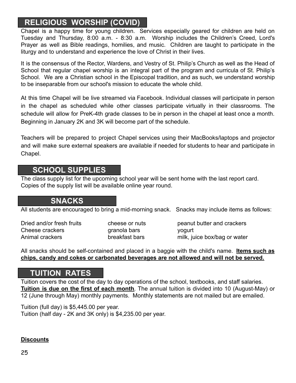# **RELIGIOUS WORSHIP (COVID)**

Chapel is a happy time for young children. Services especially geared for children are held on Tuesday and Thursday, 8:00 a.m. - 8:30 a.m. Worship includes the Children's Creed, Lord's Prayer as well as Bible readings, homilies, and music. Children are taught to participate in the liturgy and to understand and experience the love of Christ in their lives.

It is the consensus of the Rector, Wardens, and Vestry of St. Philip's Church as well as the Head of School that regular chapel worship is an integral part of the program and curricula of St. Philip's School. We are a Christian school in the Episcopal tradition, and as such, we understand worship to be inseparable from our school's mission to educate the whole child.

At this time Chapel will be live streamed via Facebook. Individual classes will participate in person in the chapel as scheduled while other classes participate virtually in their classrooms. The schedule will allow for PreK-4th grade classes to be in person in the chapel at least once a month. Beginning in January 2K and 3K will become part of the schedule.

Teachers will be prepared to project Chapel services using their MacBooks/laptops and projector and will make sure external speakers are available if needed for students to hear and participate in Chapel.

## **SCHOOL SUPPLIES**

The class supply list for the upcoming school year will be sent home with the last report card. Copies of the supply list will be available online year round.

## **SNACKS**

All students are encouraged to bring a mid-morning snack. Snacks may include items as follows:

Cheese crackers example a granola bars word word of the set of the set of the set of the set of the set of the set of the set of the set of the set of the set of the set of the set of the set of the set of the set of the s

Dried and/or fresh fruits cheese or nuts peanut butter and crackers Animal crackers breakfast bars milk, juice box/bag or water

All snacks should be self-contained and placed in a baggie with the child's name. **Items such as chips, candy and cokes or carbonated beverages are not allowed and will not be served.**

# **TUITION RATES**

Tuition covers the cost of the day to day operations of the school, textbooks, and staff salaries. **Tuition is due on the first of each month**. The annual tuition is divided into 10 (August-May) or 12 (June through May) monthly payments. Monthly statements are not mailed but are emailed.

Tuition (full day) is \$5,445.00 per year. Tuition (half day - 2K and 3K only) is \$4,235.00 per year.

#### **Discounts**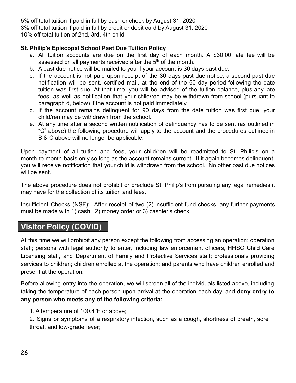5% off total tuition if paid in full by cash or check by August 31, 2020 3% off total tuition if paid in full by credit or debit card by August 31, 2020 10% off total tuition of 2nd, 3rd, 4th child

#### **St. Philip's Episcopal School Past Due Tuition Policy**

- a. All tuition accounts are due on the first day of each month. A \$30.00 late fee will be assessed on all payments received after the  $5<sup>th</sup>$  of the month.
- b. A past due notice will be mailed to you if your account is 30 days past due.
- c. If the account is not paid upon receipt of the 30 days past due notice, a second past due notification will be sent, certified mail, at the end of the 60 day period following the date tuition was first due. At that time, you will be advised of the tuition balance, plus any late fees, as well as notification that your child/ren may be withdrawn from school (pursuant to paragraph d, below) if the account is not paid immediately.
- d. If the account remains delinquent for 90 days from the date tuition was first due, your child/ren may be withdrawn from the school.
- e. At any time after a second written notification of delinquency has to be sent (as outlined in "C" above) the following procedure will apply to the account and the procedures outlined in B & C above will no longer be applicable.

Upon payment of all tuition and fees, your child/ren will be readmitted to St. Philip's on a month-to-month basis only so long as the account remains current. If it again becomes delinquent, you will receive notification that your child is withdrawn from the school. No other past due notices will be sent.

The above procedure does not prohibit or preclude St. Philip's from pursuing any legal remedies it may have for the collection of its tuition and fees.

Insufficient Checks (NSF): After receipt of two (2) insufficient fund checks, any further payments must be made with 1) cash 2) money order or 3) cashier's check.

# **Visitor Policy (COVID)**

At this time we will prohibit any person except the following from accessing an operation: operation staff; persons with legal authority to enter, including law enforcement officers, HHSC Child Care Licensing staff, and Department of Family and Protective Services staff; professionals providing services to children; children enrolled at the operation; and parents who have children enrolled and present at the operation.

Before allowing entry into the operation, we will screen all of the individuals listed above, including taking the temperature of each person upon arrival at the operation each day, and **deny entry to any person who meets any of the following criteria:**

#### 1. A temperature of 100.4°F or above;

2. Signs or symptoms of a respiratory infection, such as a cough, shortness of breath, sore throat, and low-grade fever;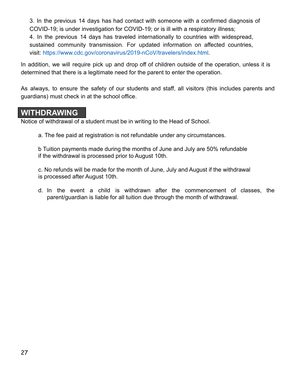3. In the previous 14 days has had contact with someone with a confirmed diagnosis of COVID-19; is under investigation for COVID-19; or is ill with a respiratory illness; 4. In the previous 14 days has traveled internationally to countries with widespread, sustained community transmission. For updated information on affected countries,

visit: https://www.cdc.gov/coronavirus/2019-nCoV/travelers/index.html.

In addition, we will require pick up and drop off of children outside of the operation, unless it is determined that there is a legitimate need for the parent to enter the operation.

As always, to ensure the safety of our students and staff, all visitors (this includes parents and guardians) must check in at the school office.

## **WITHDRAWING**

Notice of withdrawal of a student must be in writing to the Head of School.

a. The fee paid at registration is not refundable under any circumstances.

b Tuition payments made during the months of June and July are 50% refundable if the withdrawal is processed prior to August 10th.

c. No refunds will be made for the month of June, July and August if the withdrawal is processed after August 10th.

d. In the event a child is withdrawn after the commencement of classes, the parent/guardian is liable for all tuition due through the month of withdrawal.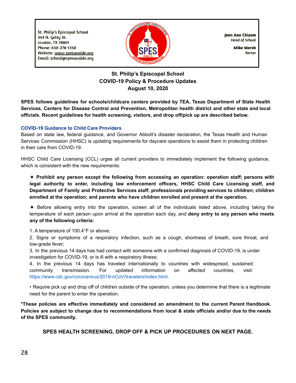**St. Philip's Episcopal School** 343 N. Getty St. **Uvalde, TX 78801** Phone: 830-278-1350 Website: www.spesuvalde.org Email: school@spesuvalde.org



**Iean Ann Chisum Head of School** 

> **Mike Marsh Rector**

#### **St. Philip's Episcopal School COVID-19 Policy & Procedure Updates August 10, 2020**

**SPES follows guidelines for schools/childcare centers provided by TEA, Texas Department of State Health Services, Centers for Disease Control and Prevention, Metropolitan health district and other state and local officials. Recent guidelines for health screening, visitors, and drop off/pick up are described below.**

#### **COVID-19 Guidance to Child Care Providers**

Based on state law, federal guidance, and Governor Abbott's disaster declaration, the Texas Health and Human Services Commission (HHSC) is updating requirements for daycare operations to assist them in protecting children in their care from COVID-19.

HHSC Child Care Licensing (CCL) urges all current providers to immediately implement the following guidance, which is consistent with the new requirements:

✦ **Prohibit any person except the following from accessing an operation: operation staff; persons with legal authority to enter, including law enforcement officers, HHSC Child Care Licensing staff, and Department of Family and Protective Services staff; professionals providing services to children; children enrolled at the operation; and parents who have children enrolled and present at the operation.**

✦ Before allowing entry into the operation, screen all of the individuals listed above, including taking the temperature of each person upon arrival at the operation each day, and **deny entry to any person who meets any of the following criteria:**

1. A temperature of 100.4°F or above;

2. Signs or symptoms of a respiratory infection, such as a cough, shortness of breath, sore throat, and low-grade fever;

3. In the previous 14 days has had contact with someone with a confirmed diagnosis of COVID-19, is under investigation for COVID-19, or is ill with a respiratory illness;

4. In the previous 14 days has traveled internationally to countries with widespread, sustained community transmission. For updated information on affected countries, visit: https://www.cdc.gov/coronavirus/2019-nCoV/travelers/index.html.

• Require pick up and drop off of children outside of the operation, unless you determine that there is a legitimate need for the parent to enter the operation.

**\*These policies are effective immediately and considered an amendment to the current Parent Handbook.** Policies are subject to change due to recommendations from local & state officials and/or due to the needs **of the SPES community.**

**SPES HEALTH SCREENING, DROP OFF & PICK UP PROCEDURES ON NEXT PAGE.**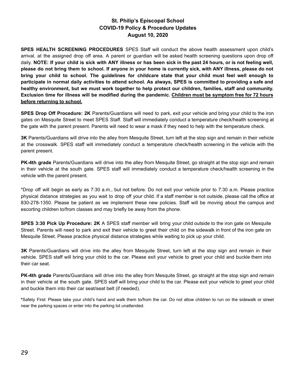#### **St. Philip's Episcopal School COVID-19 Policy & Procedure Updates August 10, 2020**

**SPES HEALTH SCREENING PROCEDURES** SPES Staff will conduct the above health assessment upon child's arrival, at the assigned drop off area. A parent or guardian will be asked health screening questions upon drop off daily. NOTE: If your child is sick with ANY illness or has been sick in the past 24 hours, or is not feeling well, please do not bring them to school. If anyone in your home is currently sick, with ANY illness, please do not bring your child to school. The guidelines for childcare state that your child must feel well enough to participate in normal daily activities to attend school. As always, SPES is committed to providing a safe and **healthy environment, but we must work together to help protect our children, families, staff and community.** Exclusion time for illness will be modified during the pandemic. Children must be symptom free for 72 hours **before returning to school.**

**SPES Drop Off Procedure: 2K** Parents/Guardians will need to park, exit your vehicle and bring your child to the iron gates on Mesquite Street to meet SPES Staff. Staff will immediately conduct a temperature check/health screening at the gate with the parent present. Parents will need to wear a mask if they need to help with the temperature check.

**3K** Parents/Guardians will drive into the alley from Mesquite Street, turn left at the stop sign and remain in their vehicle at the crosswalk. SPES staff will immediately conduct a temperature check/health screening in the vehicle with the parent present.

**PK-4th grade** Parents/Guardians will drive into the alley from Mesquite Street, go straight at the stop sign and remain in their vehicle at the south gate. SPES staff will immediately conduct a temperature check/health screening in the vehicle with the parent present.

\*Drop off will begin as early as 7:30 a.m., but not before. Do not exit your vehicle prior to 7:30 a.m. Please practice physical distance strategies as you wait to drop off your child. If a staff member is not outside, please call the office at 830-278-1350. Please be patient as we implement these new policies. Staff will be moving about the campus and escorting children to/from classes and may briefly be away from the phone.

**SPES 3:30 Pick Up Procedure: 2K** A SPES staff member will bring your child outside to the iron gate on Mesquite Street. Parents will need to park and exit their vehicle to greet their child on the sidewalk in front of the iron gate on Mesquite Street. Please practice physical distance strategies while waiting to pick up your child.

**3K** Parents/Guardians will drive into the alley from Mesquite Street, turn left at the stop sign and remain in their vehicle. SPES staff will bring your child to the car. Please exit your vehicle to greet your child and buckle them into their car seat.

**PK-4th grade** Parents/Guardians will drive into the alley from Mesquite Street, go straight at the stop sign and remain in their vehicle at the south gate. SPES staff will bring your child to the car. Please exit your vehicle to greet your child and buckle them into their car seat/seat belt (if needed).

**\***Safety First: Please take your child's hand and walk them to/from the car. Do not allow children to run on the sidewalk or street near the parking spaces or enter into the parking lot unattended.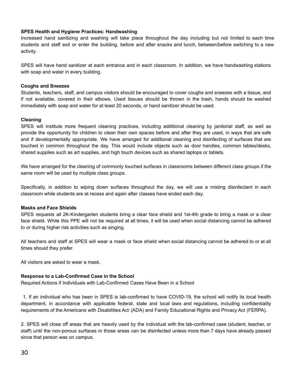#### **SPES Health and Hygiene Practices: Handwashing**

Increased hand sanitizing and washing will take place throughout the day including but not limited to each time students and staff exit or enter the building, before and after snacks and lunch, between/before switching to a new activity.

SPES will have hand sanitizer at each entrance and in each classroom. In addition, we have handwashing stations with soap and water in every building.

#### **Coughs and Sneezes**

Students, teachers, staff, and campus visitors should be encouraged to cover coughs and sneezes with a tissue, and if not available, covered in their elbows. Used tissues should be thrown in the trash, hands should be washed immediately with soap and water for at least 20 seconds, or hand sanitizer should be used.

#### **Cleaning**

SPES will institute more frequent cleaning practices, including additional cleaning by janitorial staff, as well as provide the opportunity for children to clean their own spaces before and after they are used, in ways that are safe and if developmentally appropriate. We have arranged for additional cleaning and disinfecting of surfaces that are touched in common throughout the day. This would include objects such as door handles, common tables/desks, shared supplies such as art supplies, and high touch devices such as shared laptops or tablets.

We have arranged for the cleaning of commonly touched surfaces in classrooms between different class groups if the same room will be used by multiple class groups.

Specifically, in addition to wiping down surfaces throughout the day, we will use a misting disinfectant in each classroom while students are at recess and again after classes have ended each day.

#### **Masks and Face Shields**

SPES requests all 2K-Kindergarten students bring a clear face shield and 1st-4th grade to bring a mask or a clear face shield. While this PPE will not be required at all times, it will be used when social distancing cannot be adhered to or during higher risk activities such as singing.

All teachers and staff at SPES will wear a mask or face shield when social distancing cannot be adhered to or at all times should they prefer.

All visitors are asked to wear a mask.

#### **Response to a Lab-Confirmed Case in the School**

Required Actions if Individuals with Lab-Confirmed Cases Have Been in a School

1. If an individual who has been in SPES is lab-confirmed to have COVID-19, the school will notify its local health department, in accordance with applicable federal, state and local laws and regulations, including confidentiality requirements of the Americans with Disabilities Act (ADA) and Family Educational Rights and Privacy Act (FERPA).

2. SPES will close off areas that are heavily used by the individual with the lab-confirmed case (student, teacher, or staff) until the non-porous surfaces in those areas can be disinfected unless more than 7 days have already passed since that person was on campus.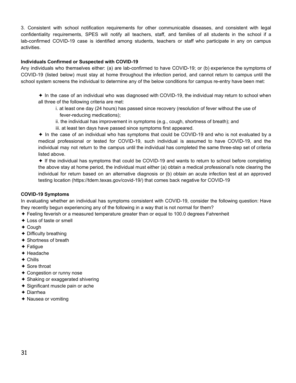3. Consistent with school notification requirements for other communicable diseases, and consistent with legal confidentiality requirements, SPES will notify all teachers, staff, and families of all students in the school if a lab-confirmed COVID-19 case is identified among students, teachers or staff who participate in any on campus activities.

#### **Individuals Confirmed or Suspected with COVID-19**

Any individuals who themselves either: (a) are lab-confirmed to have COVID-19; or (b) experience the symptoms of COVID-19 (listed below) must stay at home throughout the infection period, and cannot return to campus until the school system screens the individual to determine any of the below conditions for campus re-entry have been met:

- ✦ In the case of an individual who was diagnosed with COVID-19, the individual may return to school when all three of the following criteria are met:
	- i. at least one day (24 hours) has passed since recovery (resolution of fever without the use of fever-reducing medications);
	- ii. the individual has improvement in symptoms (e.g., cough, shortness of breath); and
	- iii. at least ten days have passed since symptoms first appeared.
- ✦ In the case of an individual who has symptoms that could be COVID-19 and who is not evaluated by a medical professional or tested for COVID-19, such individual is assumed to have COVID-19, and the individual may not return to the campus until the individual has completed the same three-step set of criteria listed above.

✦ If the individual has symptoms that could be COVID-19 and wants to return to school before completing the above stay at home period, the individual must either (a) obtain a medical professional's note clearing the individual for return based on an alternative diagnosis or (b) obtain an acute infection test at an approved testing location (https://tdem.texas.gov/covid-19/) that comes back negative for COVID-19

#### **COVID-19 Symptoms**

In evaluating whether an individual has symptoms consistent with COVID-19, consider the following question: Have they recently begun experiencing any of the following in a way that is not normal for them?

- ✦ Feeling feverish or a measured temperature greater than or equal to 100.0 degrees Fahrenheit
- ✦ Loss of taste or smell
- ✦ Cough
- $\triangle$  Difficulty breathing
- ✦ Shortness of breath
- ✦ Fatigue
- ✦ Headache
- $\triangle$  Chills
- ✦ Sore throat
- ✦ Congestion or runny nose
- ✦ Shaking or exaggerated shivering
- ✦ Significant muscle pain or ache
- ✦ Diarrhea
- ✦ Nausea or vomiting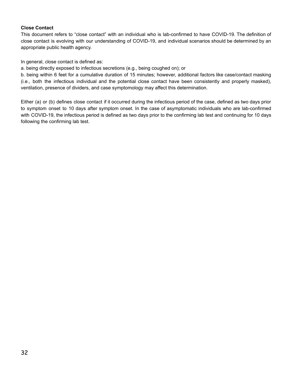#### **Close Contact**

This document refers to "close contact" with an individual who is lab-confirmed to have COVID-19. The definition of close contact is evolving with our understanding of COVID-19, and individual scenarios should be determined by an appropriate public health agency.

In general, close contact is defined as:

a. being directly exposed to infectious secretions (e.g., being coughed on); or

b. being within 6 feet for a cumulative duration of 15 minutes; however, additional factors like case/contact masking (i.e., both the infectious individual and the potential close contact have been consistently and properly masked), ventilation, presence of dividers, and case symptomology may affect this determination.

Either (a) or (b) defines close contact if it occurred during the infectious period of the case, defined as two days prior to symptom onset to 10 days after symptom onset. In the case of asymptomatic individuals who are lab-confirmed with COVID-19, the infectious period is defined as two days prior to the confirming lab test and continuing for 10 days following the confirming lab test.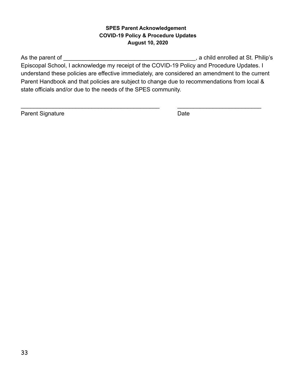#### **SPES Parent Acknowledgement COVID-19 Policy & Procedure Updates August 10, 2020**

As the parent of \_\_\_\_\_\_\_\_\_\_\_\_\_\_\_\_\_\_\_\_\_\_\_\_\_\_\_\_\_\_\_\_\_\_\_\_\_\_\_\_\_, a child enrolled at St. Philip's Episcopal School, I acknowledge my receipt of the COVID-19 Policy and Procedure Updates. I understand these policies are effective immediately, are considered an amendment to the current Parent Handbook and that policies are subject to change due to recommendations from local & state officials and/or due to the needs of the SPES community.

\_\_\_\_\_\_\_\_\_\_\_\_\_\_\_\_\_\_\_\_\_\_\_\_\_\_\_\_\_\_\_\_\_\_\_\_\_\_\_\_\_\_\_ \_\_\_\_\_\_\_\_\_\_\_\_\_\_\_\_\_\_\_\_\_\_\_\_\_\_

Parent Signature Date Date